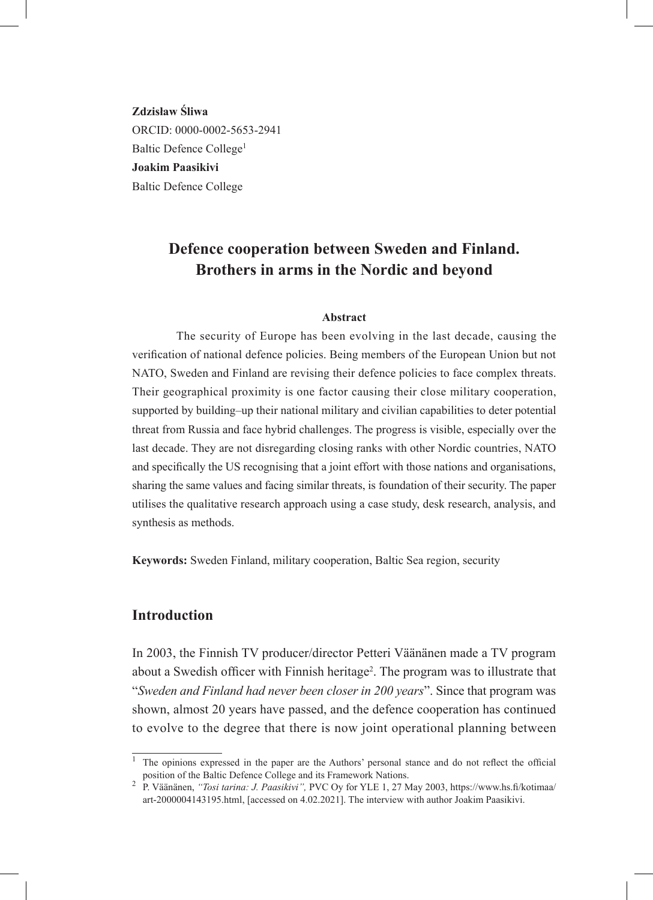**Zdzisław Śliwa**  ORCID: 0000-0002-5653-2941 Baltic Defence College<sup>1</sup> **Joakim Paasikivi**  Baltic Defence College

# **Defence cooperation between Sweden and Finland. Brothers in arms in the Nordic and beyond**

#### **Abstract**

The security of Europe has been evolving in the last decade, causing the verification of national defence policies. Being members of the European Union but not NATO, Sweden and Finland are revising their defence policies to face complex threats. Their geographical proximity is one factor causing their close military cooperation, supported by building–up their national military and civilian capabilities to deter potential threat from Russia and face hybrid challenges. The progress is visible, especially over the last decade. They are not disregarding closing ranks with other Nordic countries, NATO and specifically the US recognising that a joint effort with those nations and organisations, sharing the same values and facing similar threats, is foundation of their security. The paper utilises the qualitative research approach using a case study, desk research, analysis, and synthesis as methods.

**Keywords:** Sweden Finland, military cooperation, Baltic Sea region, security

#### **Introduction**

In 2003, the Finnish TV producer/director Petteri Väänänen made a TV program about a Swedish officer with Finnish heritage<sup>2</sup>. The program was to illustrate that "*Sweden and Finland had never been closer in 200 years*". Since that program was shown, almost 20 years have passed, and the defence cooperation has continued to evolve to the degree that there is now joint operational planning between

 $\overline{1}$  The opinions expressed in the paper are the Authors' personal stance and do not reflect the official position of the Baltic Defence College and its Framework Nations. <sup>2</sup> P. Väänänen, *"Tosi tarina: J. Paasikivi",* PVC Oy for YLE 1, 27 May 2003, https://www.hs.fi/kotimaa/

art-2000004143195.html, [accessed on 4.02.2021]. The interview with author Joakim Paasikivi.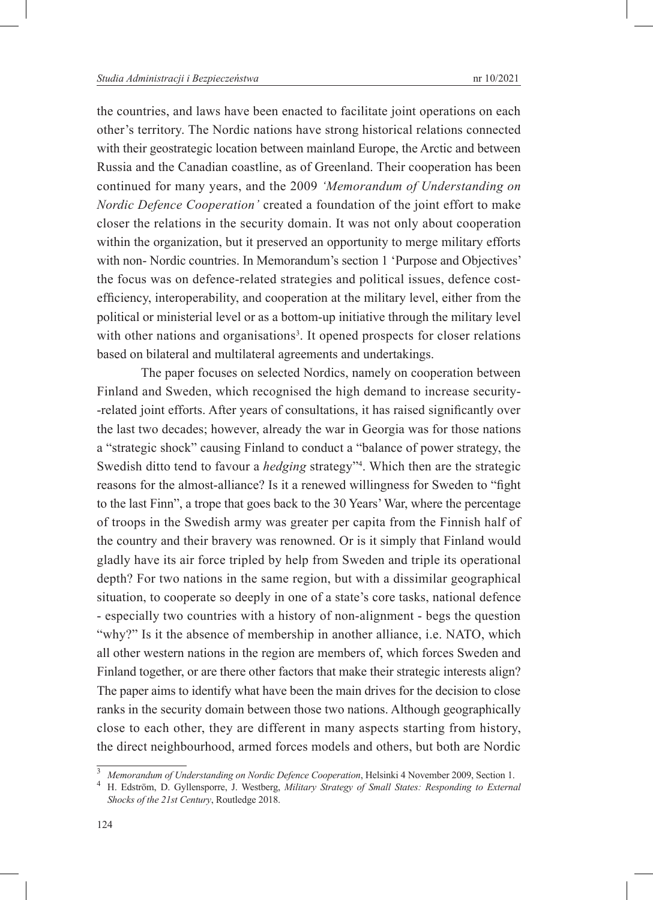the countries, and laws have been enacted to facilitate joint operations on each other's territory. The Nordic nations have strong historical relations connected with their geostrategic location between mainland Europe, the Arctic and between Russia and the Canadian coastline, as of Greenland. Their cooperation has been continued for many years, and the 2009 *'Memorandum of Understanding on Nordic Defence Cooperation'* created a foundation of the joint effort to make closer the relations in the security domain. It was not only about cooperation within the organization, but it preserved an opportunity to merge military efforts with non- Nordic countries. In Memorandum's section 1 'Purpose and Objectives' the focus was on defence-related strategies and political issues, defence costefficiency, interoperability, and cooperation at the military level, either from the political or ministerial level or as a bottom-up initiative through the military level with other nations and organisations<sup>3</sup>. It opened prospects for closer relations based on bilateral and multilateral agreements and undertakings.

The paper focuses on selected Nordics, namely on cooperation between Finland and Sweden, which recognised the high demand to increase security- -related joint efforts. After years of consultations, it has raised significantly over the last two decades; however, already the war in Georgia was for those nations a "strategic shock" causing Finland to conduct a "balance of power strategy, the Swedish ditto tend to favour a *hedging* strategy"4 . Which then are the strategic reasons for the almost-alliance? Is it a renewed willingness for Sweden to "fight to the last Finn", a trope that goes back to the 30 Years' War, where the percentage of troops in the Swedish army was greater per capita from the Finnish half of the country and their bravery was renowned. Or is it simply that Finland would gladly have its air force tripled by help from Sweden and triple its operational depth? For two nations in the same region, but with a dissimilar geographical situation, to cooperate so deeply in one of a state's core tasks, national defence - especially two countries with a history of non-alignment - begs the question "why?" Is it the absence of membership in another alliance, i.e. NATO, which all other western nations in the region are members of, which forces Sweden and Finland together, or are there other factors that make their strategic interests align? The paper aims to identify what have been the main drives for the decision to close ranks in the security domain between those two nations. Although geographically close to each other, they are different in many aspects starting from history, the direct neighbourhood, armed forces models and others, but both are Nordic

<sup>3</sup> *Memorandum of Understanding on Nordic Defence Cooperation*, Helsinki 4 November 2009, Section 1. 4 H. Edström, D. Gyllensporre, J. Westberg, *Military Strategy of Small States: Responding to External Shocks of the 21st Century*, Routledge 2018.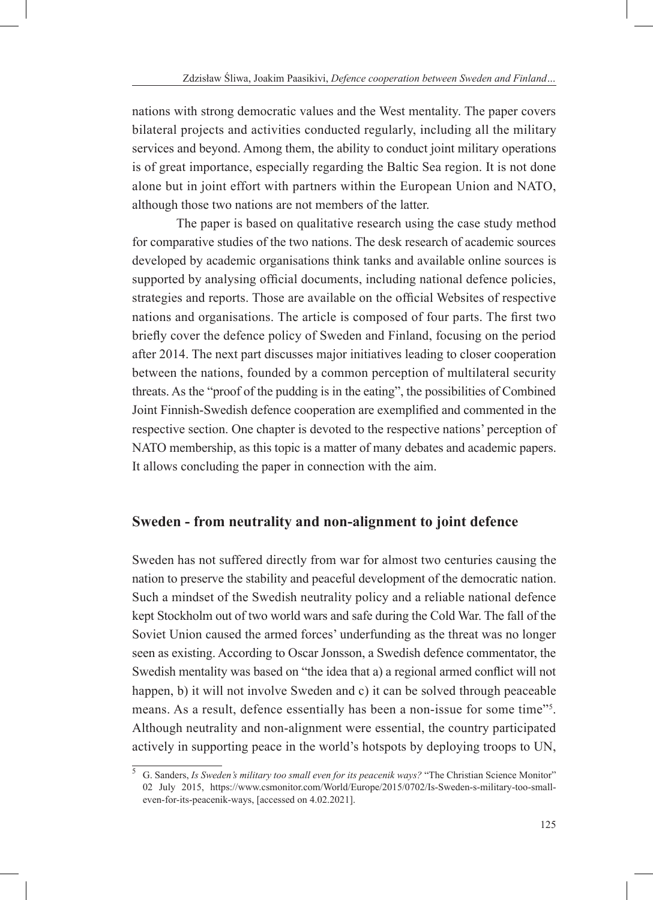nations with strong democratic values and the West mentality. The paper covers bilateral projects and activities conducted regularly, including all the military services and beyond. Among them, the ability to conduct joint military operations is of great importance, especially regarding the Baltic Sea region. It is not done alone but in joint effort with partners within the European Union and NATO, although those two nations are not members of the latter.

The paper is based on qualitative research using the case study method for comparative studies of the two nations. The desk research of academic sources developed by academic organisations think tanks and available online sources is supported by analysing official documents, including national defence policies, strategies and reports. Those are available on the official Websites of respective nations and organisations. The article is composed of four parts. The first two briefly cover the defence policy of Sweden and Finland, focusing on the period after 2014. The next part discusses major initiatives leading to closer cooperation between the nations, founded by a common perception of multilateral security threats. As the "proof of the pudding is in the eating", the possibilities of Combined Joint Finnish-Swedish defence cooperation are exemplified and commented in the respective section. One chapter is devoted to the respective nations' perception of NATO membership, as this topic is a matter of many debates and academic papers. It allows concluding the paper in connection with the aim.

### **Sweden - from neutrality and non-alignment to joint defence**

Sweden has not suffered directly from war for almost two centuries causing the nation to preserve the stability and peaceful development of the democratic nation. Such a mindset of the Swedish neutrality policy and a reliable national defence kept Stockholm out of two world wars and safe during the Cold War. The fall of the Soviet Union caused the armed forces' underfunding as the threat was no longer seen as existing. According to Oscar Jonsson, a Swedish defence commentator, the Swedish mentality was based on "the idea that a) a regional armed conflict will not happen, b) it will not involve Sweden and c) it can be solved through peaceable means. As a result, defence essentially has been a non-issue for some time"<sup>5</sup>. Although neutrality and non-alignment were essential, the country participated actively in supporting peace in the world's hotspots by deploying troops to UN,

<sup>5</sup> G. Sanders, *Is Sweden's military too small even for its peacenik ways?* "The Christian Science Monitor" 02 July 2015, https://www.csmonitor.com/World/Europe/2015/0702/Is-Sweden-s-military-too-smalleven-for-its-peacenik-ways, [accessed on 4.02.2021].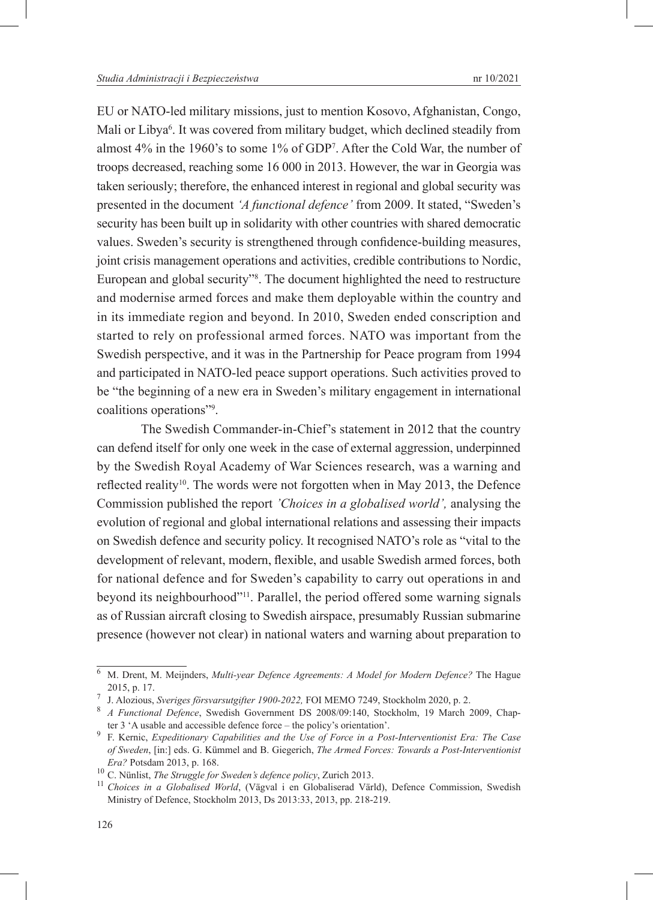EU or NATO-led military missions, just to mention Kosovo, Afghanistan, Congo, Mali or Libya6 . It was covered from military budget, which declined steadily from almost 4% in the 1960's to some 1% of GDP7 . After the Cold War, the number of troops decreased, reaching some 16 000 in 2013. However, the war in Georgia was taken seriously; therefore, the enhanced interest in regional and global security was presented in the document *'A functional defence'* from 2009. It stated, "Sweden's security has been built up in solidarity with other countries with shared democratic values. Sweden's security is strengthened through confidence-building measures, joint crisis management operations and activities, credible contributions to Nordic, European and global security"<sup>8</sup> . The document highlighted the need to restructure and modernise armed forces and make them deployable within the country and in its immediate region and beyond. In 2010, Sweden ended conscription and started to rely on professional armed forces. NATO was important from the Swedish perspective, and it was in the Partnership for Peace program from 1994 and participated in NATO-led peace support operations. Such activities proved to be "the beginning of a new era in Sweden's military engagement in international coalitions operations"9 .

The Swedish Commander-in-Chief's statement in 2012 that the country can defend itself for only one week in the case of external aggression, underpinned by the Swedish Royal Academy of War Sciences research, was a warning and reflected reality<sup>10</sup>. The words were not forgotten when in May 2013, the Defence Commission published the report *'Choices in a globalised world',* analysing the evolution of regional and global international relations and assessing their impacts on Swedish defence and security policy. It recognised NATO's role as "vital to the development of relevant, modern, flexible, and usable Swedish armed forces, both for national defence and for Sweden's capability to carry out operations in and beyond its neighbourhood"<sup>11</sup>. Parallel, the period offered some warning signals as of Russian aircraft closing to Swedish airspace, presumably Russian submarine presence (however not clear) in national waters and warning about preparation to

<sup>6</sup> M. Drent, M. Meijnders, *Multi-year Defence Agreements: A Model for Modern Defence?* The Hague 2015, p. 17. <sup>7</sup> J. Alozious, *Sveriges försvarsutgifter 1900-2022,* FOI MEMO 7249, Stockholm 2020, p. 2. <sup>8</sup> *A Functional Defence*, Swedish Government DS 2008/09:140, Stockholm, 19 March 2009, Chap-

ter 3 'A usable and accessible defence force – the policy's orientation'. <sup>9</sup> F. Kernic, *Expeditionary Capabilities and the Use of Force in a Post-Interventionist Era: The Case of Sweden*, [in:] eds. G. Kümmel and B. Giegerich, *The Armed Forces: Towards a Post-Interventionist Era?* Potsdam 2013, p. 168. <sup>10</sup> C. Nünlist, *The Struggle for Sweden's defence policy*, Zurich 2013. <sup>11</sup> *Choices in a Globalised World*, (Vägval i en Globaliserad Värld), Defence Commission, Swedish

Ministry of Defence, Stockholm 2013, Ds 2013:33, 2013, pp. 218-219.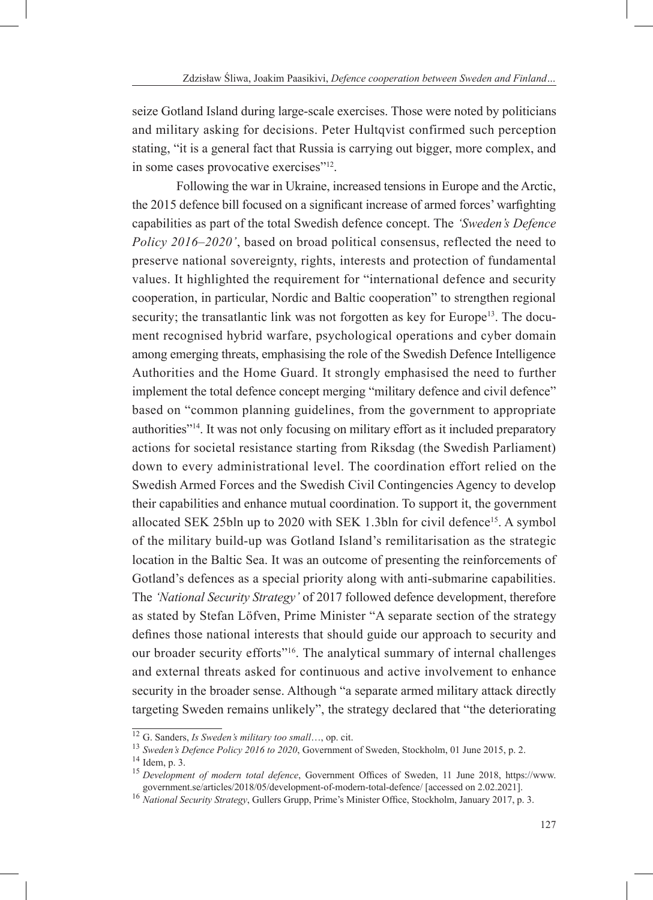seize Gotland Island during large-scale exercises. Those were noted by politicians and military asking for decisions. Peter Hultqvist confirmed such perception stating, "it is a general fact that Russia is carrying out bigger, more complex, and in some cases provocative exercises"<sup>12</sup>.

Following the war in Ukraine, increased tensions in Europe and the Arctic, the 2015 defence bill focused on a significant increase of armed forces' warfighting capabilities as part of the total Swedish defence concept. The *'Sweden's Defence Policy 2016–2020'*, based on broad political consensus, reflected the need to preserve national sovereignty, rights, interests and protection of fundamental values. It highlighted the requirement for "international defence and security cooperation, in particular, Nordic and Baltic cooperation" to strengthen regional security; the transatlantic link was not forgotten as key for Europe<sup>13</sup>. The document recognised hybrid warfare, psychological operations and cyber domain among emerging threats, emphasising the role of the Swedish Defence Intelligence Authorities and the Home Guard. It strongly emphasised the need to further implement the total defence concept merging "military defence and civil defence" based on "common planning guidelines, from the government to appropriate authorities"<sup>14</sup>. It was not only focusing on military effort as it included preparatory actions for societal resistance starting from Riksdag (the Swedish Parliament) down to every administrational level. The coordination effort relied on the Swedish Armed Forces and the Swedish Civil Contingencies Agency to develop their capabilities and enhance mutual coordination. To support it, the government allocated SEK 25bln up to 2020 with SEK 1.3bln for civil defence<sup>15</sup>. A symbol of the military build-up was Gotland Island's remilitarisation as the strategic location in the Baltic Sea. It was an outcome of presenting the reinforcements of Gotland's defences as a special priority along with anti-submarine capabilities. The *'National Security Strategy'* of 2017 followed defence development, therefore as stated by Stefan Löfven, Prime Minister "A separate section of the strategy defines those national interests that should guide our approach to security and our broader security efforts<sup>"16</sup>. The analytical summary of internal challenges and external threats asked for continuous and active involvement to enhance security in the broader sense. Although "a separate armed military attack directly targeting Sweden remains unlikely", the strategy declared that "the deteriorating

<sup>&</sup>lt;sup>12</sup> G. Sanders, *Is Sweden's military too small*..., op. cit.<br>
<sup>13</sup> Sweden's *Defence Policy 2016 to 2020*, Government of Sweden, Stockholm, 01 June 2015, p. 2.<br>
<sup>14</sup> Idem, p. 3.<br>
<sup>15</sup> Development of modern total defence

<sup>&</sup>lt;sup>16</sup> National Security Strategy, Gullers Grupp, Prime's Minister Office, Stockholm, January 2017, p. 3.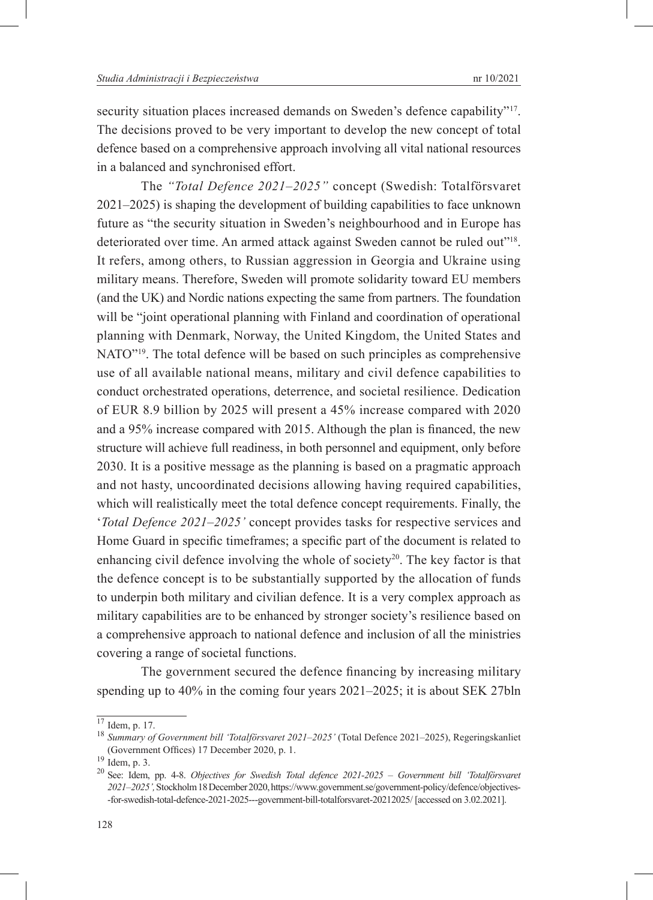security situation places increased demands on Sweden's defence capability"<sup>17</sup>. The decisions proved to be very important to develop the new concept of total defence based on a comprehensive approach involving all vital national resources in a balanced and synchronised effort.

The *"Total Defence 2021–2025"* concept (Swedish: Totalförsvaret 2021–2025) is shaping the development of building capabilities to face unknown future as "the security situation in Sweden's neighbourhood and in Europe has deteriorated over time. An armed attack against Sweden cannot be ruled out"18. It refers, among others, to Russian aggression in Georgia and Ukraine using military means. Therefore, Sweden will promote solidarity toward EU members (and the UK) and Nordic nations expecting the same from partners. The foundation will be "joint operational planning with Finland and coordination of operational planning with Denmark, Norway, the United Kingdom, the United States and NATO"<sup>19</sup>. The total defence will be based on such principles as comprehensive use of all available national means, military and civil defence capabilities to conduct orchestrated operations, deterrence, and societal resilience. Dedication of EUR 8.9 billion by 2025 will present a 45% increase compared with 2020 and a 95% increase compared with 2015. Although the plan is financed, the new structure will achieve full readiness, in both personnel and equipment, only before 2030. It is a positive message as the planning is based on a pragmatic approach and not hasty, uncoordinated decisions allowing having required capabilities, which will realistically meet the total defence concept requirements. Finally, the '*Total Defence 2021–2025'* concept provides tasks for respective services and Home Guard in specific timeframes; a specific part of the document is related to enhancing civil defence involving the whole of society<sup>20</sup>. The key factor is that the defence concept is to be substantially supported by the allocation of funds to underpin both military and civilian defence. It is a very complex approach as military capabilities are to be enhanced by stronger society's resilience based on a comprehensive approach to national defence and inclusion of all the ministries covering a range of societal functions.

The government secured the defence financing by increasing military spending up to 40% in the coming four years 2021–2025; it is about SEK 27bln

<sup>17</sup> Idem, p. 17. <sup>18</sup> *Summary of Government bill 'Totalförsvaret 2021–2025'* (Total Defence 2021–2025), Regeringskanliet (Government Offices) 17 December 2020, p. 1. <sup>19</sup> Idem, p. 3. <sup>20</sup> See: Idem, pp. 4-8. *Objectives for Swedish Total defence 2021-2025 – Government bill 'Totalförsvaret* 

*<sup>2021–2025&#</sup>x27;,* Stockholm 18 December 2020, https://www.government.se/government-policy/defence/objectives- -for-swedish-total-defence-2021-2025---government-bill-totalforsvaret-20212025/ [accessed on 3.02.2021].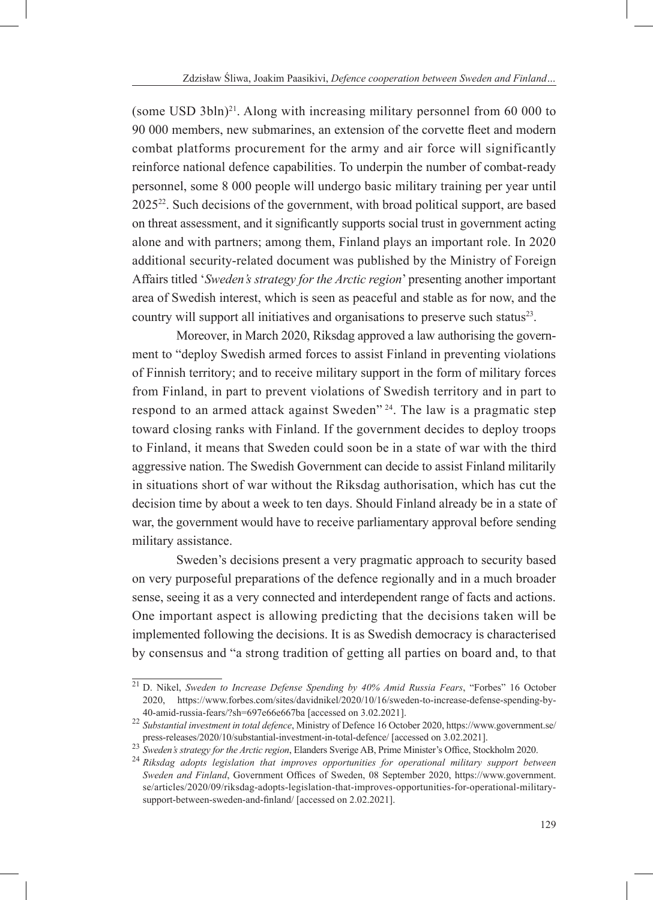(some USD 3bln) $^{21}$ . Along with increasing military personnel from 60 000 to 90 000 members, new submarines, an extension of the corvette fleet and modern combat platforms procurement for the army and air force will significantly reinforce national defence capabilities. To underpin the number of combat-ready personnel, some 8 000 people will undergo basic military training per year until  $2025^{22}$ . Such decisions of the government, with broad political support, are based on threat assessment, and it significantly supports social trust in government acting alone and with partners; among them, Finland plays an important role. In 2020 additional security-related document was published by the Ministry of Foreign Affairs titled '*Sweden's strategy for the Arctic region*' presenting another important area of Swedish interest, which is seen as peaceful and stable as for now, and the country will support all initiatives and organisations to preserve such status<sup>23</sup>.

Moreover, in March 2020, Riksdag approved a law authorising the government to "deploy Swedish armed forces to assist Finland in preventing violations of Finnish territory; and to receive military support in the form of military forces from Finland, in part to prevent violations of Swedish territory and in part to respond to an armed attack against Sweden<sup>" 24</sup>. The law is a pragmatic step toward closing ranks with Finland. If the government decides to deploy troops to Finland, it means that Sweden could soon be in a state of war with the third aggressive nation. The Swedish Government can decide to assist Finland militarily in situations short of war without the Riksdag authorisation, which has cut the decision time by about a week to ten days. Should Finland already be in a state of war, the government would have to receive parliamentary approval before sending military assistance.

Sweden's decisions present a very pragmatic approach to security based on very purposeful preparations of the defence regionally and in a much broader sense, seeing it as a very connected and interdependent range of facts and actions. One important aspect is allowing predicting that the decisions taken will be implemented following the decisions. It is as Swedish democracy is characterised by consensus and "a strong tradition of getting all parties on board and, to that

<sup>21</sup> D. Nikel, *Sweden to Increase Defense Spending by 40% Amid Russia Fears*, "Forbes" 16 October 2020, https://www.forbes.com/sites/davidnikel/2020/10/16/sweden-to-increase-defense-spending-by-

<sup>&</sup>lt;sup>22</sup> Substantial investment in total defence, Ministry of Defence 16 October 2020, https://www.government.se/ press-releases/2020/10/substantial-investment-in-total-defence/ [accessed on 3.02.2021].<br><sup>23</sup> Sweden's strategy for the Arctic region, Elanders Sverige AB, Prime Minister's Office, Stockholm 2020.<br><sup>24</sup> Riksdag adopts legis

*Sweden and Finland*, Government Offices of Sweden, 08 September 2020, https://www.government. se/articles/2020/09/riksdag-adopts-legislation-that-improves-opportunities-for-operational-militarysupport-between-sweden-and-finland/ [accessed on 2.02.2021].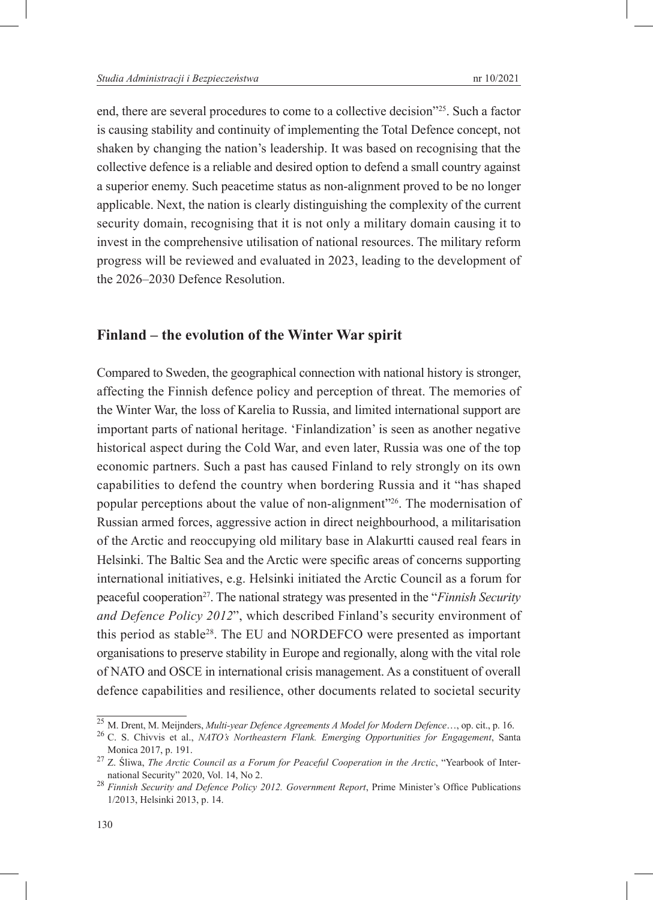end, there are several procedures to come to a collective decision"25. Such a factor is causing stability and continuity of implementing the Total Defence concept, not shaken by changing the nation's leadership. It was based on recognising that the collective defence is a reliable and desired option to defend a small country against a superior enemy. Such peacetime status as non-alignment proved to be no longer applicable. Next, the nation is clearly distinguishing the complexity of the current security domain, recognising that it is not only a military domain causing it to invest in the comprehensive utilisation of national resources. The military reform progress will be reviewed and evaluated in 2023, leading to the development of the 2026–2030 Defence Resolution.

### **Finland – the evolution of the Winter War spirit**

Compared to Sweden, the geographical connection with national history is stronger, affecting the Finnish defence policy and perception of threat. The memories of the Winter War, the loss of Karelia to Russia, and limited international support are important parts of national heritage. 'Finlandization' is seen as another negative historical aspect during the Cold War, and even later, Russia was one of the top economic partners. Such a past has caused Finland to rely strongly on its own capabilities to defend the country when bordering Russia and it "has shaped popular perceptions about the value of non-alignment"26. The modernisation of Russian armed forces, aggressive action in direct neighbourhood, a militarisation of the Arctic and reoccupying old military base in Alakurtti caused real fears in Helsinki. The Baltic Sea and the Arctic were specific areas of concerns supporting international initiatives, e.g. Helsinki initiated the Arctic Council as a forum for peaceful cooperation27. The national strategy was presented in the "*Finnish Security and Defence Policy 2012*", which described Finland's security environment of this period as stable<sup>28</sup>. The EU and NORDEFCO were presented as important organisations to preserve stability in Europe and regionally, along with the vital role of NATO and OSCE in international crisis management. As a constituent of overall defence capabilities and resilience, other documents related to societal security

<sup>25</sup> M. Drent, M. Meijnders, *Multi-year Defence Agreements A Model for Modern Defence*…, op. cit., p. 16. 26 C. S. Chivvis et al., *NATO's Northeastern Flank. Emerging Opportunities for Engagement*, Santa Monica 2017, p. 191. <sup>27</sup> Z. Śliwa, *The Arctic Council as a Forum for Peaceful Cooperation in the Arctic*, "Yearbook of Inter-

national Security" 2020, Vol. 14, No 2. <sup>28</sup> *Finnish Security and Defence Policy 2012. Government Report*, Prime Minister's Office Publications 1/2013, Helsinki 2013, p. 14.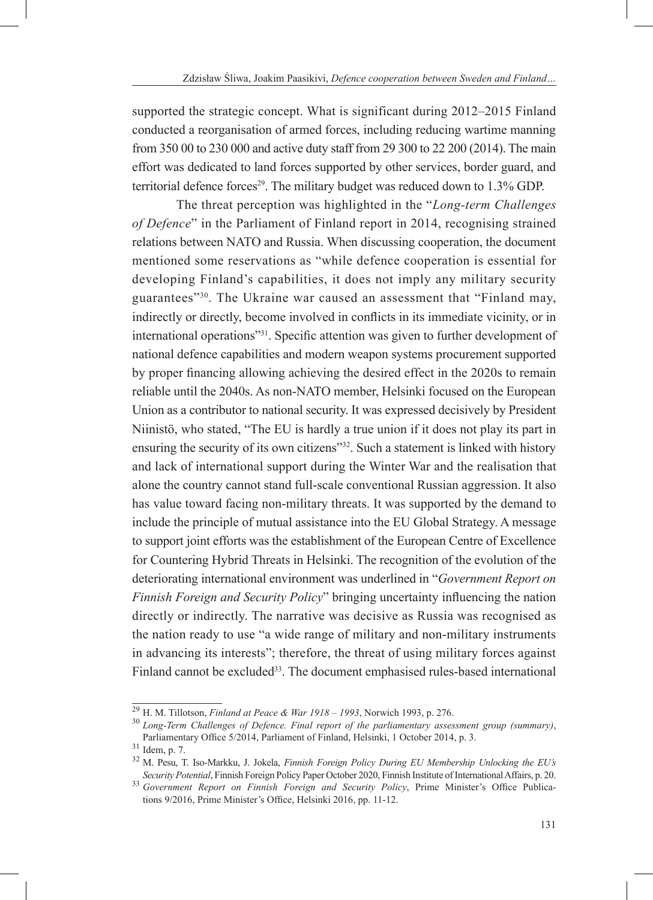supported the strategic concept. What is significant during 2012–2015 Finland conducted a reorganisation of armed forces, including reducing wartime manning from 350 00 to 230 000 and active duty staff from 29 300 to 22 200 (2014). The main effort was dedicated to land forces supported by other services, border guard, and territorial defence forces<sup>29</sup>. The military budget was reduced down to  $1.3\%$  GDP.

The threat perception was highlighted in the "*Long-term Challenges of Defence*" in the Parliament of Finland report in 2014, recognising strained relations between NATO and Russia. When discussing cooperation, the document mentioned some reservations as "while defence cooperation is essential for developing Finland's capabilities, it does not imply any military security guarantees"30. The Ukraine war caused an assessment that "Finland may, indirectly or directly, become involved in conflicts in its immediate vicinity, or in international operations"31. Specific attention was given to further development of national defence capabilities and modern weapon systems procurement supported by proper financing allowing achieving the desired effect in the 2020s to remain reliable until the 2040s. As non-NATO member, Helsinki focused on the European Union as a contributor to national security. It was expressed decisively by President Niinistö, who stated, "The EU is hardly a true union if it does not play its part in ensuring the security of its own citizens"<sup>32</sup>. Such a statement is linked with history and lack of international support during the Winter War and the realisation that alone the country cannot stand full-scale conventional Russian aggression. It also has value toward facing non-military threats. It was supported by the demand to include the principle of mutual assistance into the EU Global Strategy. A message to support joint efforts was the establishment of the European Centre of Excellence for Countering Hybrid Threats in Helsinki. The recognition of the evolution of the deteriorating international environment was underlined in "*Government Report on Finnish Foreign and Security Policy*" bringing uncertainty influencing the nation directly or indirectly. The narrative was decisive as Russia was recognised as the nation ready to use "a wide range of military and non-military instruments in advancing its interests"; therefore, the threat of using military forces against Finland cannot be excluded<sup>33</sup>. The document emphasised rules-based international

<sup>&</sup>lt;sup>29</sup> H. M. Tillotson, *Finland at Peace & War 1918 – 1993*, Norwich 1993, p. 276.<br><sup>30</sup> *Long-Term Challenges of Defence. Final report of the parliamentary assessment group (summary)*, Parliamentary Office 5/2014, Parliament of Finland, Helsinki, 1 October 2014, p. 3. <sup>31</sup> Idem, p. 7. <sup>32</sup> M. Pesu, T. Iso-Markku, J. Jokela, *Finnish Foreign Policy During EU Membership Unlocking the EU's* 

*Security Potential*, Finnish Foreign Policy Paper October 2020, Finnish Institute of International Affairs, p. 20. 33 *Government Report on Finnish Foreign and Security Policy*, Prime Minister's Office Publications 9/2016, Prime Minister's Office, Helsinki 2016, pp. 11-12.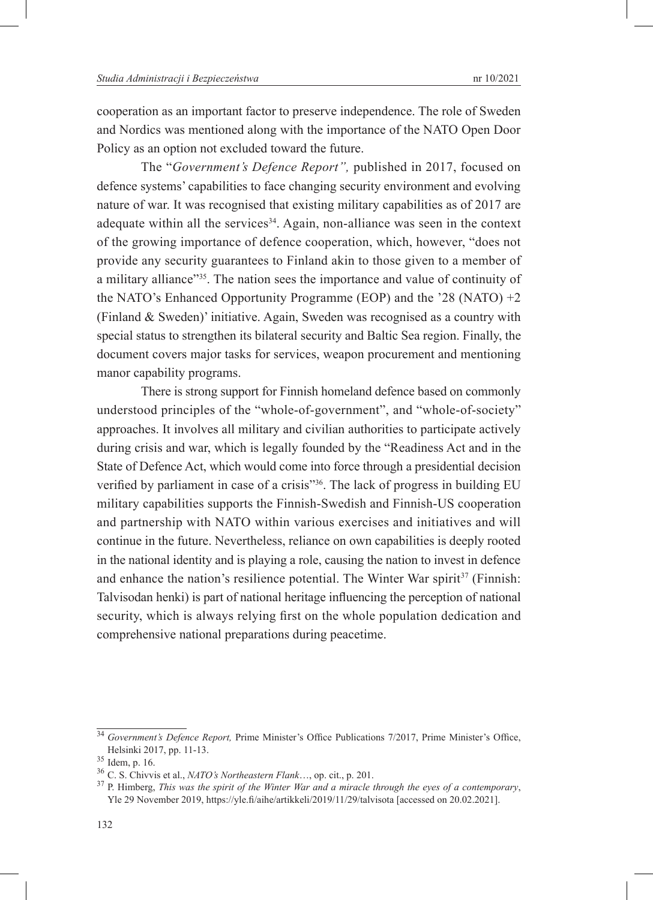cooperation as an important factor to preserve independence. The role of Sweden and Nordics was mentioned along with the importance of the NATO Open Door Policy as an option not excluded toward the future.

The "*Government's Defence Report",* published in 2017, focused on defence systems' capabilities to face changing security environment and evolving nature of war. It was recognised that existing military capabilities as of 2017 are adequate within all the services<sup>34</sup>. Again, non-alliance was seen in the context of the growing importance of defence cooperation, which, however, "does not provide any security guarantees to Finland akin to those given to a member of a military alliance"35. The nation sees the importance and value of continuity of the NATO's Enhanced Opportunity Programme (EOP) and the '28 (NATO) +2 (Finland & Sweden)' initiative. Again, Sweden was recognised as a country with special status to strengthen its bilateral security and Baltic Sea region. Finally, the document covers major tasks for services, weapon procurement and mentioning manor capability programs.

There is strong support for Finnish homeland defence based on commonly understood principles of the "whole-of-government", and "whole-of-society" approaches. It involves all military and civilian authorities to participate actively during crisis and war, which is legally founded by the "Readiness Act and in the State of Defence Act, which would come into force through a presidential decision verified by parliament in case of a crisis"36. The lack of progress in building EU military capabilities supports the Finnish-Swedish and Finnish-US cooperation and partnership with NATO within various exercises and initiatives and will continue in the future. Nevertheless, reliance on own capabilities is deeply rooted in the national identity and is playing a role, causing the nation to invest in defence and enhance the nation's resilience potential. The Winter War spirit<sup>37</sup> (Finnish: Talvisodan henki) is part of national heritage influencing the perception of national security, which is always relying first on the whole population dedication and comprehensive national preparations during peacetime.

<sup>34</sup> *Government's Defence Report,* Prime Minister's Office Publications 7/2017, Prime Minister's Office, Helsinki 2017, pp. 11-13.<br><sup>35</sup> Idem, p. 16.<br><sup>36</sup> C. S. Chivvis et al., *NATO's Northeastern Flank...*, op. cit., p. 201.<br><sup>37</sup> P. Himberg, *This was the spirit of the Winter War and a miracle through the eyes of a contempor* 

Yle 29 November 2019, https://yle.fi/aihe/artikkeli/2019/11/29/talvisota [accessed on 20.02.2021].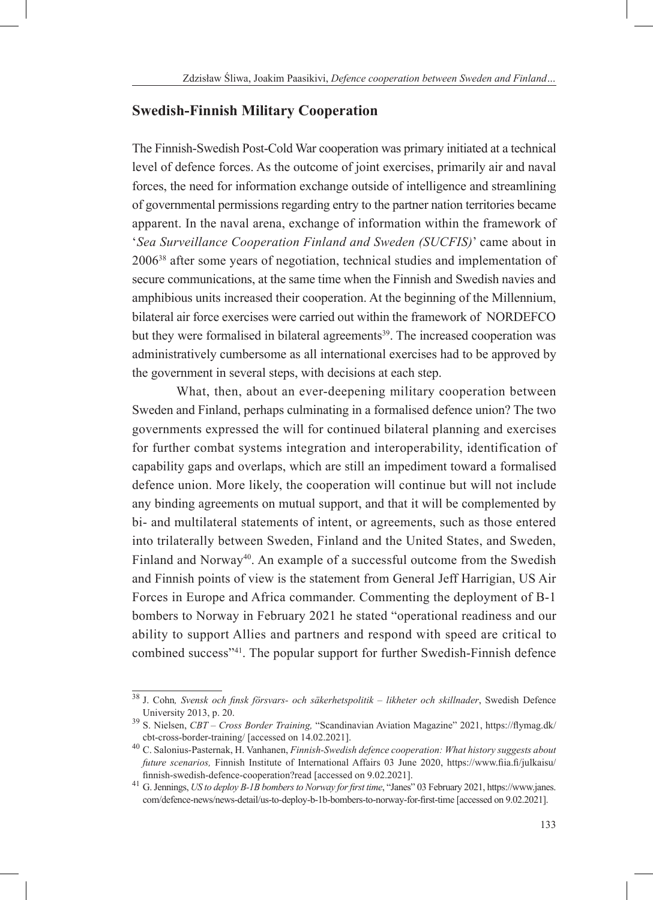# **Swedish-Finnish Military Cooperation**

The Finnish-Swedish Post-Cold War cooperation was primary initiated at a technical level of defence forces. As the outcome of joint exercises, primarily air and naval forces, the need for information exchange outside of intelligence and streamlining of governmental permissions regarding entry to the partner nation territories became apparent. In the naval arena, exchange of information within the framework of '*Sea Surveillance Cooperation Finland and Sweden (SUCFIS)*' came about in 200638 after some years of negotiation, technical studies and implementation of secure communications, at the same time when the Finnish and Swedish navies and amphibious units increased their cooperation. At the beginning of the Millennium, bilateral air force exercises were carried out within the framework of NORDEFCO but they were formalised in bilateral agreements<sup>39</sup>. The increased cooperation was administratively cumbersome as all international exercises had to be approved by the government in several steps, with decisions at each step.

What, then, about an ever-deepening military cooperation between Sweden and Finland, perhaps culminating in a formalised defence union? The two governments expressed the will for continued bilateral planning and exercises for further combat systems integration and interoperability, identification of capability gaps and overlaps, which are still an impediment toward a formalised defence union. More likely, the cooperation will continue but will not include any binding agreements on mutual support, and that it will be complemented by bi- and multilateral statements of intent, or agreements, such as those entered into trilaterally between Sweden, Finland and the United States, and Sweden, Finland and Norway<sup>40</sup>. An example of a successful outcome from the Swedish and Finnish points of view is the statement from General Jeff Harrigian, US Air Forces in Europe and Africa commander. Commenting the deployment of B-1 bombers to Norway in February 2021 he stated "operational readiness and our ability to support Allies and partners and respond with speed are critical to combined success"41. The popular support for further Swedish-Finnish defence

<sup>38</sup> J. Cohn*, Svensk och finsk försvars- och säkerhetspolitik – likheter och skillnader*, Swedish Defence University 2013, p. 20. 39 S. Nielsen, *CBT – Cross Border Training,* "Scandinavian Aviation Magazine" 2021, https://flymag.dk/

cbt-cross-border-training/ [accessed on 14.02.2021]. <sup>40</sup> C. Salonius-Pasternak, H. Vanhanen, *Finnish-Swedish defence cooperation: What history suggests about future scenarios,* Finnish Institute of International Affairs 03 June 2020, https://www.fiia.fi/julkaisu/

finnish-swedish-defence-cooperation?read [accessed on 9.02.2021]. <sup>41</sup> G. Jennings, *US to deploy B-1B bombers to Norway for first time*, "Janes" 03 February 2021, https://www.janes. com/defence-news/news-detail/us-to-deploy-b-1b-bombers-to-norway-for-first-time [accessed on 9.02.2021].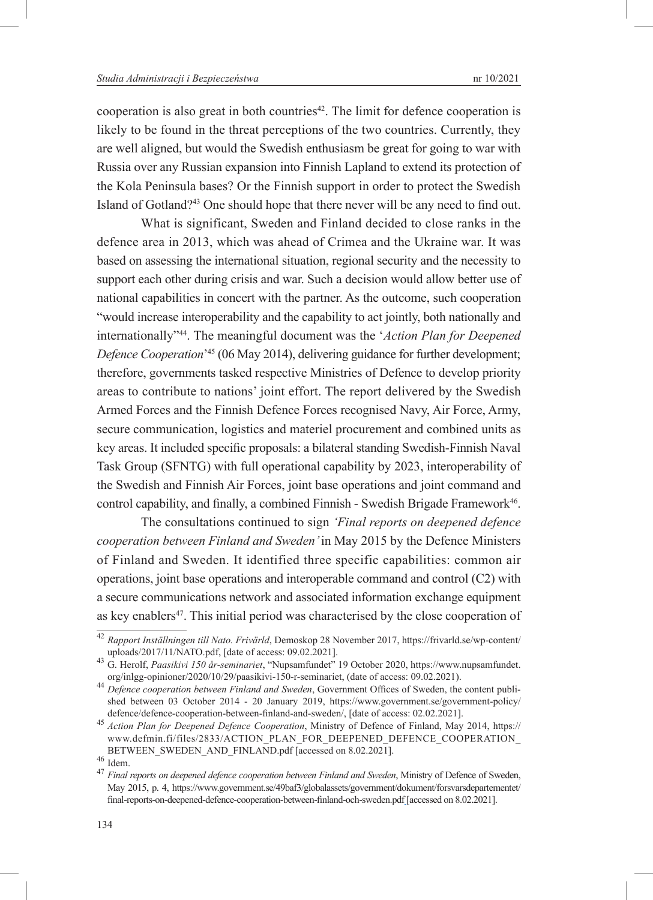cooperation is also great in both countries<sup> $42$ </sup>. The limit for defence cooperation is likely to be found in the threat perceptions of the two countries. Currently, they are well aligned, but would the Swedish enthusiasm be great for going to war with Russia over any Russian expansion into Finnish Lapland to extend its protection of the Kola Peninsula bases? Or the Finnish support in order to protect the Swedish Island of Gotland?43 One should hope that there never will be any need to find out.

What is significant, Sweden and Finland decided to close ranks in the defence area in 2013, which was ahead of Crimea and the Ukraine war. It was based on assessing the international situation, regional security and the necessity to support each other during crisis and war. Such a decision would allow better use of national capabilities in concert with the partner. As the outcome, such cooperation "would increase interoperability and the capability to act jointly, both nationally and internationally"44. The meaningful document was the '*Action Plan for Deepened Defence Cooperation*' 45 (06 May 2014), delivering guidance for further development; therefore, governments tasked respective Ministries of Defence to develop priority areas to contribute to nations' joint effort. The report delivered by the Swedish Armed Forces and the Finnish Defence Forces recognised Navy, Air Force, Army, secure communication, logistics and materiel procurement and combined units as key areas. It included specific proposals: a bilateral standing Swedish-Finnish Naval Task Group (SFNTG) with full operational capability by 2023, interoperability of the Swedish and Finnish Air Forces, joint base operations and joint command and control capability, and finally, a combined Finnish - Swedish Brigade Framework<sup>46</sup>.

The consultations continued to sign *'Final reports on deepened defence cooperation between Finland and Sweden'* in May 2015 by the Defence Ministers of Finland and Sweden. It identified three specific capabilities: common air operations, joint base operations and interoperable command and control (C2) with a secure communications network and associated information exchange equipment as key enablers<sup>47</sup>. This initial period was characterised by the close cooperation of

<sup>42</sup> *Rapport Inställningen till Nato. Frivärld*, Demoskop 28 November 2017, https://frivarld.se/wp-content/

uploads/2017/11/NATO.pdf, [date of access: 09.02.2021]. <sup>43</sup> G. Herolf, *Paasikivi 150 år-seminariet*, "Nupsamfundet" 19 October 2020, https://www.nupsamfundet.

<sup>&</sup>lt;sup>44</sup> Defence cooperation between Finland and Sweden, Government Offices of Sweden, the content published between 03 October 2014 - 20 January 2019, https://www.government.se/government-policy/

defence/defence-cooperation-between-finland-and-sweden/, [date of access: 02.02.2021]. <sup>45</sup> *Action Plan for Deepened Defence Cooperation*, Ministry of Defence of Finland, May 2014, https:// www.defmin.fi/files/2833/ACTION\_PLAN\_FOR\_DEEPENED\_DEFENCE\_COOPERATION\_<br>BETWEEN\_SWEDEN\_AND\_FINLAND.pdf [accessed on 8.02.2021].

BETWEEN\_NCONDENAND.<br><sup>46</sup> Idem.<br><sup>47</sup> *Final reports on deepened defence cooperation between Finland and Sweden*, Ministry of Defence of Sweden, May 2015, p. 4, https://www.government.se/49baf3/globalassets/government/dokument/forsvarsdepartementet/ final-reports-on-deepened-defence-cooperation-between-finland-och-sweden.pdf [accessed on 8.02.2021].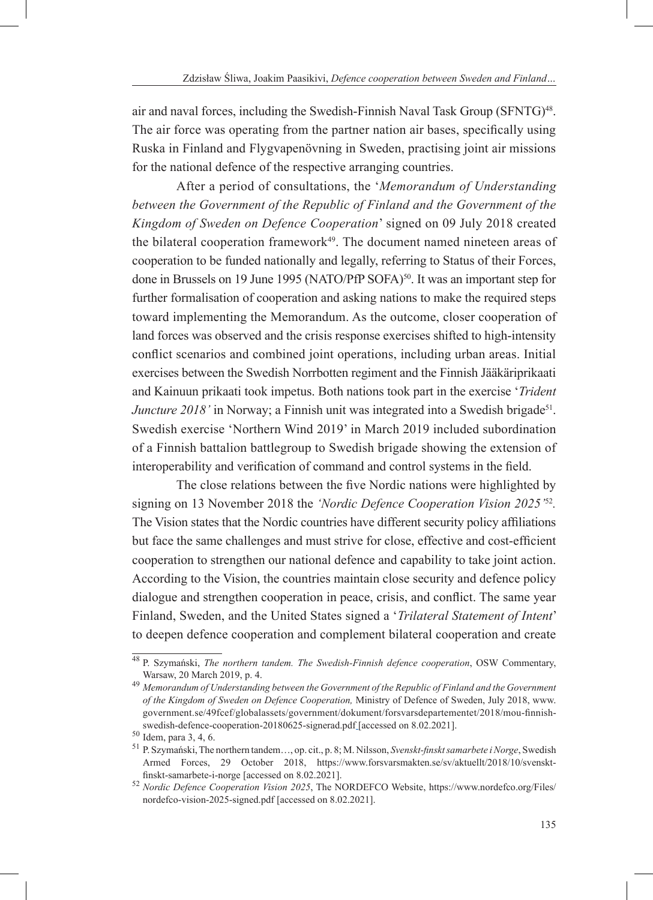air and naval forces, including the Swedish-Finnish Naval Task Group (SFNTG)<sup>48</sup>. The air force was operating from the partner nation air bases, specifically using Ruska in Finland and Flygvapenövning in Sweden, practising joint air missions for the national defence of the respective arranging countries.

After a period of consultations, the '*Memorandum of Understanding between the Government of the Republic of Finland and the Government of the Kingdom of Sweden on Defence Cooperation*' signed on 09 July 2018 created the bilateral cooperation framework<sup>49</sup>. The document named nineteen areas of cooperation to be funded nationally and legally, referring to Status of their Forces, done in Brussels on 19 June 1995 (NATO/PfP SOFA)<sup>50</sup>. It was an important step for further formalisation of cooperation and asking nations to make the required steps toward implementing the Memorandum. As the outcome, closer cooperation of land forces was observed and the crisis response exercises shifted to high-intensity conflict scenarios and combined joint operations, including urban areas. Initial exercises between the Swedish Norrbotten regiment and the Finnish Jääkäriprikaati and Kainuun prikaati took impetus. Both nations took part in the exercise '*Trident Juncture 2018'* in Norway; a Finnish unit was integrated into a Swedish brigade<sup>51</sup>. Swedish exercise 'Northern Wind 2019' in March 2019 included subordination of a Finnish battalion battlegroup to Swedish brigade showing the extension of interoperability and verification of command and control systems in the field.

The close relations between the five Nordic nations were highlighted by signing on 13 November 2018 the *'Nordic Defence Cooperation Vision 2025'*<sup>52</sup>*.* The Vision states that the Nordic countries have different security policy affiliations but face the same challenges and must strive for close, effective and cost-efficient cooperation to strengthen our national defence and capability to take joint action. According to the Vision, the countries maintain close security and defence policy dialogue and strengthen cooperation in peace, crisis, and conflict. The same year Finland, Sweden, and the United States signed a '*Trilateral Statement of Intent*' to deepen defence cooperation and complement bilateral cooperation and create

<sup>48</sup> P. Szymański, *The northern tandem. The Swedish-Finnish defence cooperation*, OSW Commentary, Warsaw, 20 March 2019, p. 4. <sup>49</sup> *Memorandum of Understanding between the Government of the Republic of Finland and the Government* 

*of the Kingdom of Sweden on Defence Cooperation,* Ministry of Defence of Sweden, July 2018, www. government.se/49fcef/globalassets/government/dokument/forsvarsdepartementet/2018/mou-finnishswedish-defence-cooperation-20180625-signerad.pdf [accessed on 8.02.2021].<br><sup>50</sup> Idem, para 3, 4, 6.<br><sup>51</sup> P. Szymański, The northern tandem…, op. cit., p. 8; M. Nilsson, *Svenskt-finskt samarbete i Norge*, Swedish

Armed Forces, 29 October 2018, https://www.forsvarsmakten.se/sv/aktuellt/2018/10/svenskt-

finskt-samarbete-i-norge [accessed on 8.02.2021]. <sup>52</sup> *Nordic Defence Cooperation Vision 2025*, The NORDEFCO Website, https://www.nordefco.org/Files/ nordefco-vision-2025-signed.pdf [accessed on 8.02.2021].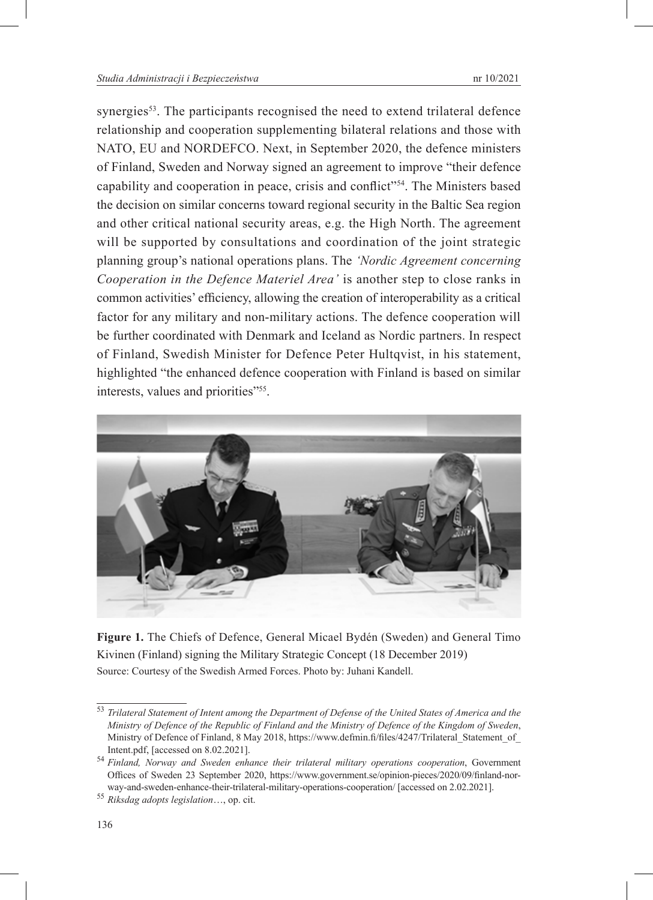synergies<sup>53</sup>. The participants recognised the need to extend trilateral defence relationship and cooperation supplementing bilateral relations and those with NATO, EU and NORDEFCO. Next, in September 2020, the defence ministers of Finland, Sweden and Norway signed an agreement to improve "their defence capability and cooperation in peace, crisis and conflict"54. The Ministers based the decision on similar concerns toward regional security in the Baltic Sea region and other critical national security areas, e.g. the High North. The agreement will be supported by consultations and coordination of the joint strategic planning group's national operations plans. The *'Nordic Agreement concerning Cooperation in the Defence Materiel Area'* is another step to close ranks in common activities' efficiency, allowing the creation of interoperability as a critical factor for any military and non-military actions. The defence cooperation will be further coordinated with Denmark and Iceland as Nordic partners. In respect of Finland, Swedish Minister for Defence Peter Hultqvist, in his statement, highlighted "the enhanced defence cooperation with Finland is based on similar interests, values and priorities"<sup>55</sup>.



**Figure 1.** The Chiefs of Defence, General Micael Bydén (Sweden) and General Timo Kivinen (Finland) signing the Military Strategic Concept (18 December 2019) Source: Courtesy of the Swedish Armed Forces. Photo by: Juhani Kandell.

<sup>53</sup> *Trilateral Statement of Intent among the Department of Defense of the United States of America and the Ministry of Defence of the Republic of Finland and the Ministry of Defence of the Kingdom of Sweden*, Ministry of Defence of Finland, 8 May 2018, https://www.defmin.fi/files/4247/Trilateral\_Statement\_of

Intent.pdf, [accessed on 8.02.2021]. <sup>54</sup> *Finland, Norway and Sweden enhance their trilateral military operations cooperation*, Government Offices of Sweden 23 September 2020, https://www.government.se/opinion-pieces/2020/09/finland-norway-and-sweden-enhance-their-trilateral-military-operations-cooperation/ [accessed on 2.02.2021]. <sup>55</sup> *Riksdag adopts legislation*…, op. cit.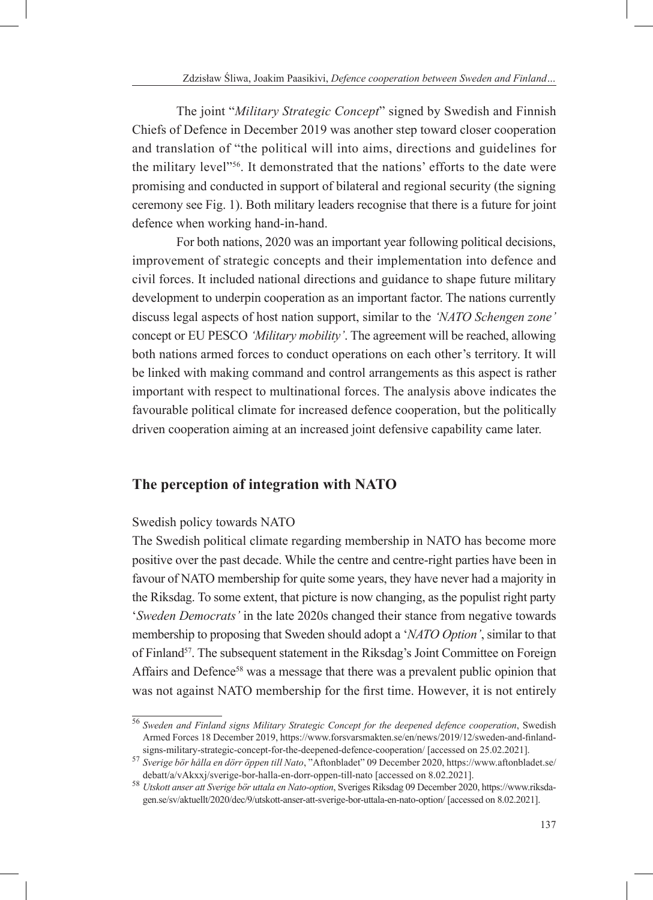The joint "*Military Strategic Concept*" signed by Swedish and Finnish Chiefs of Defence in December 2019 was another step toward closer cooperation and translation of "the political will into aims, directions and guidelines for the military level"56. It demonstrated that the nations' efforts to the date were promising and conducted in support of bilateral and regional security (the signing ceremony see Fig. 1). Both military leaders recognise that there is a future for joint defence when working hand-in-hand.

For both nations, 2020 was an important year following political decisions, improvement of strategic concepts and their implementation into defence and civil forces. It included national directions and guidance to shape future military development to underpin cooperation as an important factor. The nations currently discuss legal aspects of host nation support, similar to the *'NATO Schengen zone'* concept or EU PESCO *'Military mobility'*. The agreement will be reached, allowing both nations armed forces to conduct operations on each other's territory. It will be linked with making command and control arrangements as this aspect is rather important with respect to multinational forces. The analysis above indicates the favourable political climate for increased defence cooperation, but the politically driven cooperation aiming at an increased joint defensive capability came later.

# **The perception of integration with NATO**

### Swedish policy towards NATO

The Swedish political climate regarding membership in NATO has become more positive over the past decade. While the centre and centre-right parties have been in favour of NATO membership for quite some years, they have never had a majority in the Riksdag. To some extent, that picture is now changing, as the populist right party '*Sweden Democrats'* in the late 2020s changed their stance from negative towards membership to proposing that Sweden should adopt a '*NATO Option'*, similar to that of Finland<sup>57</sup>. The subsequent statement in the Riksdag's Joint Committee on Foreign Affairs and Defence<sup>58</sup> was a message that there was a prevalent public opinion that was not against NATO membership for the first time. However, it is not entirely

<sup>56</sup> *Sweden and Finland signs Military Strategic Concept for the deepened defence cooperation*, Swedish Armed Forces 18 December 2019, https://www.forsvarsmakten.se/en/news/2019/12/sweden-and-finland-

signs-military-strategic-concept-for-the-deepened-defence-cooperation/ [accessed on 25.02.2021]. <sup>57</sup> *Sverige bör hålla en dörr öppen till Nato*, "Aftonbladet" 09 December 2020, https://www.aftonbladet.se/

debatt/a/vAkxxj/sverige-bor-halla-en-dorr-oppen-till-nato [accessed on 8.02.2021]. <sup>58</sup> *Utskott anser att Sverige bör uttala en Nato-option*, Sveriges Riksdag 09 December 2020, https://www.riksdagen.se/sv/aktuellt/2020/dec/9/utskott-anser-att-sverige-bor-uttala-en-nato-option/ [accessed on 8.02.2021].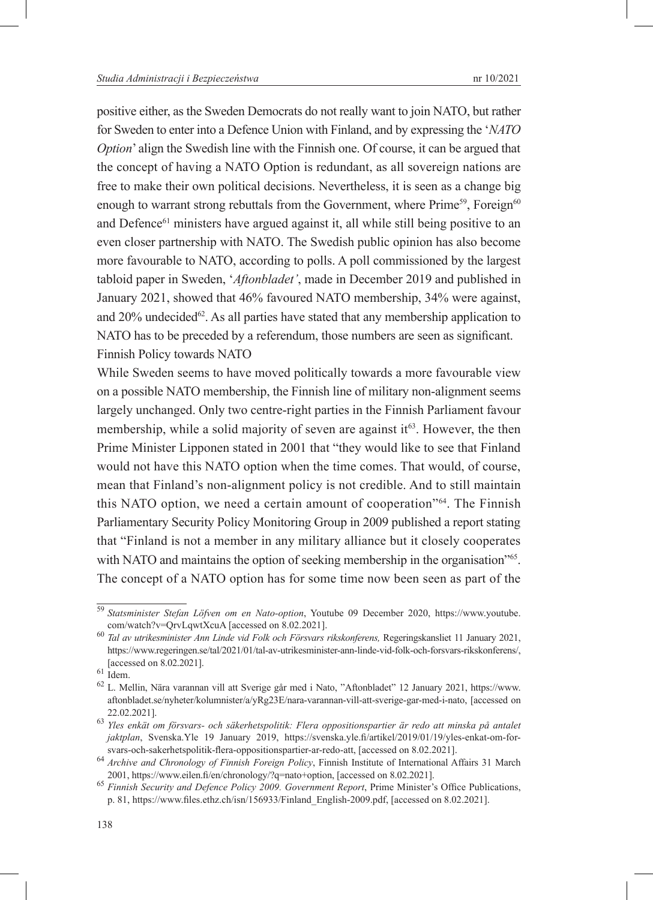positive either, as the Sweden Democrats do not really want to join NATO, but rather for Sweden to enter into a Defence Union with Finland, and by expressing the '*NATO Option*' align the Swedish line with the Finnish one. Of course, it can be argued that the concept of having a NATO Option is redundant, as all sovereign nations are free to make their own political decisions. Nevertheless, it is seen as a change big enough to warrant strong rebuttals from the Government, where  $Prime^{59}$ , Foreign<sup>60</sup> and Defence61 ministers have argued against it, all while still being positive to an even closer partnership with NATO. The Swedish public opinion has also become more favourable to NATO, according to polls. A poll commissioned by the largest tabloid paper in Sweden, '*Aftonbladet'*, made in December 2019 and published in January 2021, showed that 46% favoured NATO membership, 34% were against, and  $20\%$  undecided<sup>62</sup>. As all parties have stated that any membership application to NATO has to be preceded by a referendum, those numbers are seen as significant. Finnish Policy towards NATO

While Sweden seems to have moved politically towards a more favourable view on a possible NATO membership, the Finnish line of military non-alignment seems largely unchanged. Only two centre-right parties in the Finnish Parliament favour membership, while a solid majority of seven are against it  $63$ . However, the then Prime Minister Lipponen stated in 2001 that "they would like to see that Finland would not have this NATO option when the time comes. That would, of course, mean that Finland's non-alignment policy is not credible. And to still maintain this NATO option, we need a certain amount of cooperation"64. The Finnish Parliamentary Security Policy Monitoring Group in 2009 published a report stating that "Finland is not a member in any military alliance but it closely cooperates with NATO and maintains the option of seeking membership in the organisation<sup>765</sup>. The concept of a NATO option has for some time now been seen as part of the

<sup>59</sup> *Statsminister Stefan Löfven om en Nato-option*, Youtube 09 December 2020, https://www.youtube.

com/watch?v=QrvLqwtXcuA [accessed on 8.02.2021]. <sup>60</sup> *Tal av utrikesminister Ann Linde vid Folk och Försvars rikskonferens,* Regeringskansliet 11 January 2021, https://www.regeringen.se/tal/2021/01/tal-av-utrikesminister-ann-linde-vid-folk-och-forsvars-rikskonferens/, [accessed on 8.02.2021]. <sup>61</sup> Idem. <sup>62</sup> L. Mellin, Nära varannan vill att Sverige går med i Nato, "Aftonbladet" 12 January 2021, https://www.

aftonbladet.se/nyheter/kolumnister/a/yRg23E/nara-varannan-vill-att-sverige-gar-med-i-nato, [accessed on 22.02.2021]. <sup>63</sup> *Yles enkät om försvars- och säkerhetspolitik: Flera oppositionspartier är redo att minska på antalet* 

*jaktplan*, Svenska.Yle 19 January 2019, https://svenska.yle.fi/artikel/2019/01/19/yles-enkat-om-for-

svars-och-sakerhetspolitik-flera-oppositionspartier-ar-redo-att, [accessed on 8.02.2021]. <sup>64</sup> *Archive and Chronology of Finnish Foreign Policy*, Finnish Institute of International Affairs 31 March

<sup>2001,</sup> https://www.eilen.fi/en/chronology/?q=nato+option, [accessed on 8.02.2021]. <sup>65</sup> *Finnish Security and Defence Policy 2009. Government Report*, Prime Minister's Office Publications, p. 81, https://www.files.ethz.ch/isn/156933/Finland\_English-2009.pdf, [accessed on 8.02.2021].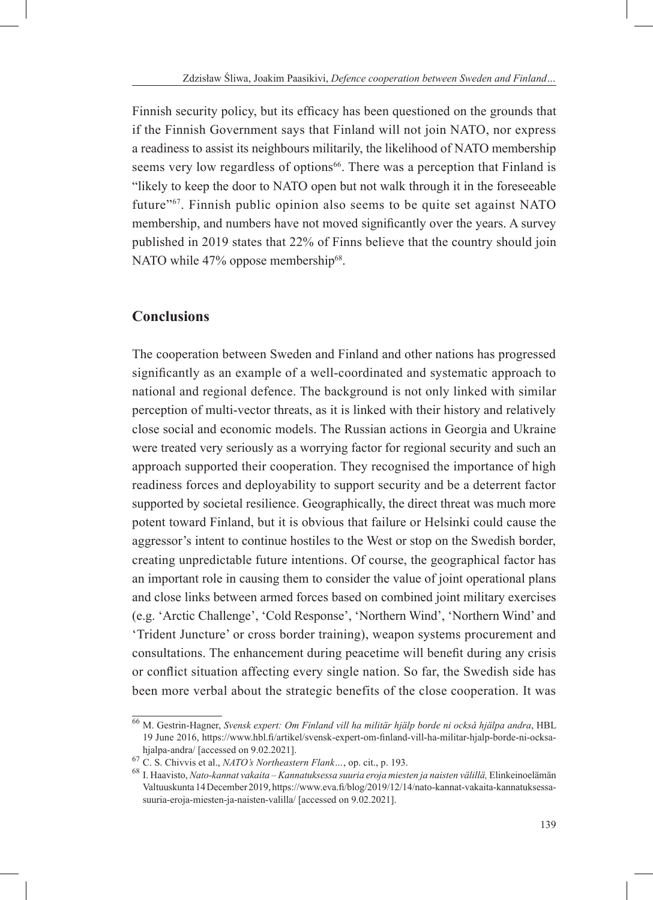Finnish security policy, but its efficacy has been questioned on the grounds that if the Finnish Government says that Finland will not join NATO, nor express a readiness to assist its neighbours militarily, the likelihood of NATO membership seems very low regardless of options<sup>66</sup>. There was a perception that Finland is "likely to keep the door to NATO open but not walk through it in the foreseeable future"67. Finnish public opinion also seems to be quite set against NATO membership, and numbers have not moved significantly over the years. A survey published in 2019 states that 22% of Finns believe that the country should join NATO while 47% oppose membership<sup>68</sup>.

# **Conclusions**

The cooperation between Sweden and Finland and other nations has progressed significantly as an example of a well-coordinated and systematic approach to national and regional defence. The background is not only linked with similar perception of multi-vector threats, as it is linked with their history and relatively close social and economic models. The Russian actions in Georgia and Ukraine were treated very seriously as a worrying factor for regional security and such an approach supported their cooperation. They recognised the importance of high readiness forces and deployability to support security and be a deterrent factor supported by societal resilience. Geographically, the direct threat was much more potent toward Finland, but it is obvious that failure or Helsinki could cause the aggressor's intent to continue hostiles to the West or stop on the Swedish border, creating unpredictable future intentions. Of course, the geographical factor has an important role in causing them to consider the value of joint operational plans and close links between armed forces based on combined joint military exercises (e.g. 'Arctic Challenge', 'Cold Response', 'Northern Wind', 'Northern Wind' and 'Trident Juncture' or cross border training), weapon systems procurement and consultations. The enhancement during peacetime will benefit during any crisis or conflict situation affecting every single nation. So far, the Swedish side has been more verbal about the strategic benefits of the close cooperation. It was

<sup>66</sup> M. Gestrin-Hagner, *Svensk expert: Om Finland vill ha militär hjälp borde ni också hjälpa andra*, HBL 19 June 2016, https://www.hbl.fi/artikel/svensk-expert-om-finland-vill-ha-militar-hjalp-borde-ni-ocksahjalpa-andra/ [accessed on 9.02.2021].<br><sup>67</sup> C. S. Chivvis et al., *NATO's Northeastern Flank...*, op. cit., p. 193.<br><sup>68</sup> I. Haavisto, *Nato-kannat vakaita – Kannatuksessa suuria eroja miesten ja naisten välillä, Elinkeinoe* 

Valtuuskunta 14 December 2019, https://www.eva.fi/blog/2019/12/14/nato-kannat-vakaita-kannatuksessasuuria-eroja-miesten-ja-naisten-valilla/ [accessed on 9.02.2021].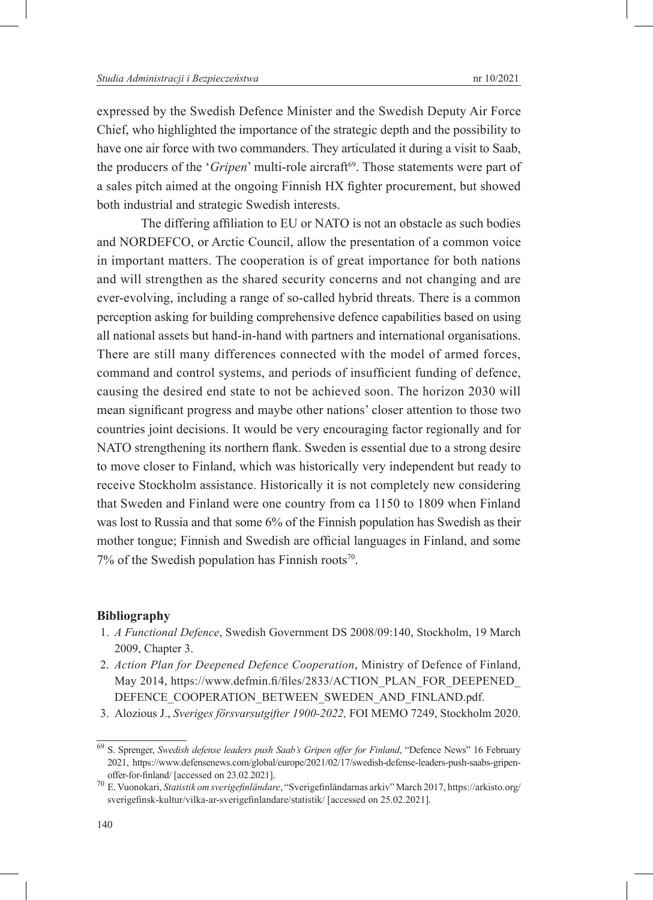expressed by the Swedish Defence Minister and the Swedish Deputy Air Force Chief, who highlighted the importance of the strategic depth and the possibility to have one air force with two commanders. They articulated it during a visit to Saab, the producers of the '*Gripen*' multi-role aircraft<sup>69</sup>. Those statements were part of a sales pitch aimed at the ongoing Finnish HX fighter procurement, but showed both industrial and strategic Swedish interests.

The differing affiliation to EU or NATO is not an obstacle as such bodies and NORDEFCO, or Arctic Council, allow the presentation of a common voice in important matters. The cooperation is of great importance for both nations and will strengthen as the shared security concerns and not changing and are ever-evolving, including a range of so-called hybrid threats. There is a common perception asking for building comprehensive defence capabilities based on using all national assets but hand-in-hand with partners and international organisations. There are still many differences connected with the model of armed forces, command and control systems, and periods of insufficient funding of defence, causing the desired end state to not be achieved soon. The horizon 2030 will mean significant progress and maybe other nations' closer attention to those two countries joint decisions. It would be very encouraging factor regionally and for NATO strengthening its northern flank. Sweden is essential due to a strong desire to move closer to Finland, which was historically very independent but ready to receive Stockholm assistance. Historically it is not completely new considering that Sweden and Finland were one country from ca 1150 to 1809 when Finland was lost to Russia and that some 6% of the Finnish population has Swedish as their mother tongue; Finnish and Swedish are official languages in Finland, and some 7% of the Swedish population has Finnish roots<sup>70</sup>.

#### **Bibliography**

- 1. *A Functional Defence*, Swedish Government DS 2008/09:140, Stockholm, 19 March 2009, Chapter 3.
- 2. *Action Plan for Deepened Defence Cooperation*, Ministry of Defence of Finland, May 2014, https://www.defmin.fi/files/2833/ACTION\_PLAN\_FOR\_DEEPENED\_ DEFENCE\_COOPERATION\_BETWEEN\_SWEDEN\_AND\_FINLAND.pdf.
- 3. Alozious J., *Sveriges försvarsutgifter 1900-2022,* FOI MEMO 7249, Stockholm 2020.

<sup>69</sup> S. Sprenger, *Swedish defense leaders push Saab's Gripen offer for Finland*, "Defence News" 16 February 2021, https://www.defensenews.com/global/europe/2021/02/17/swedish-defense-leaders-push-saabs-gripen-

offer-for-finland/ [accessed on 23.02.2021]. <sup>70</sup> E. Vuonokari, *Statistik om sverigefinländare*, "Sverigefinländarnas arkiv" March 2017, https://arkisto.org/ sverigefinsk-kultur/vilka-ar-sverigefinlandare/statistik/ [accessed on 25.02.2021].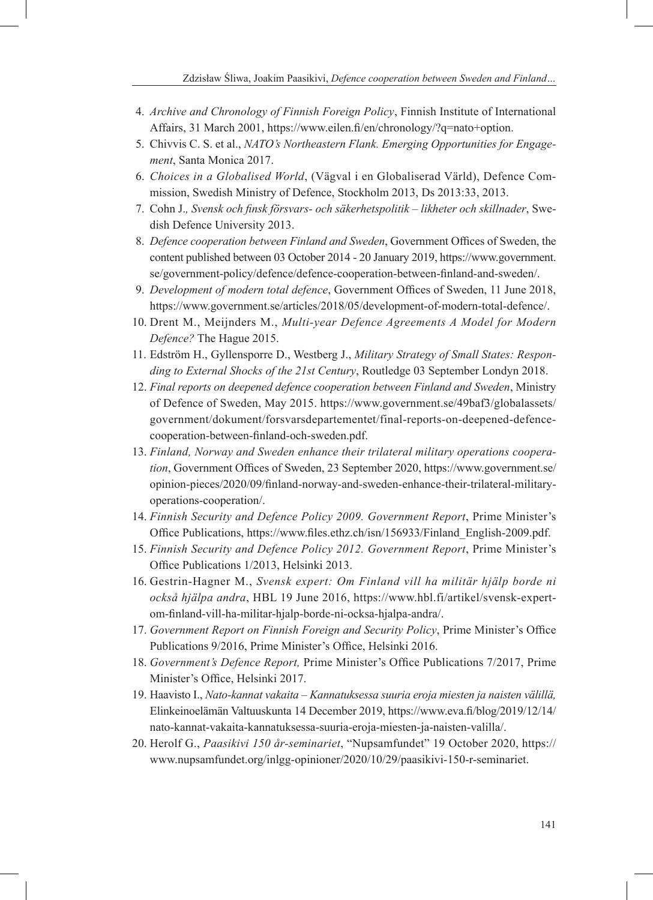- 4. *Archive and Chronology of Finnish Foreign Policy*, Finnish Institute of International Affairs, 31 March 2001, https://www.eilen.fi/en/chronology/?q=nato+option.
- 5. Chivvis C. S. et al., *NATO's Northeastern Flank. Emerging Opportunities for Engagement*, Santa Monica 2017.
- 6. *Choices in a Globalised World*, (Vägval i en Globaliserad Värld), Defence Commission, Swedish Ministry of Defence, Stockholm 2013, Ds 2013:33, 2013.
- 7. Cohn J.*, Svensk och finsk försvars- och säkerhetspolitik likheter och skillnader*, Swedish Defence University 2013.
- 8. *Defence cooperation between Finland and Sweden*, Government Offices of Sweden, the content published between 03 October 2014 - 20 January 2019, https://www.government. se/government-policy/defence/defence-cooperation-between-finland-and-sweden/.
- 9. *Development of modern total defence*, Government Offices of Sweden, 11 June 2018, https://www.government.se/articles/2018/05/development-of-modern-total-defence/.
- 10. Drent M., Meijnders M., *Multi-year Defence Agreements A Model for Modern Defence?* The Hague 2015.
- 11. Edström H., Gyllensporre D., Westberg J., *Military Strategy of Small States: Responding to External Shocks of the 21st Century*, Routledge 03 September Londyn 2018.
- 12. *Final reports on deepened defence cooperation between Finland and Sweden*, Ministry of Defence of Sweden, May 2015. https://www.government.se/49baf3/globalassets/ government/dokument/forsvarsdepartementet/final-reports-on-deepened-defencecooperation-between-finland-och-sweden.pdf.
- 13. *Finland, Norway and Sweden enhance their trilateral military operations cooperation*, Government Offices of Sweden, 23 September 2020, https://www.government.se/ opinion-pieces/2020/09/finland-norway-and-sweden-enhance-their-trilateral-militaryoperations-cooperation/.
- 14. *Finnish Security and Defence Policy 2009. Government Report*, Prime Minister's Office Publications, https://www.files.ethz.ch/isn/156933/Finland\_English-2009.pdf.
- 15. *Finnish Security and Defence Policy 2012. Government Report*, Prime Minister's Office Publications 1/2013, Helsinki 2013.
- 16. Gestrin-Hagner M., *Svensk expert: Om Finland vill ha militär hjälp borde ni också hjälpa andra*, HBL 19 June 2016, https://www.hbl.fi/artikel/svensk-expertom-finland-vill-ha-militar-hjalp-borde-ni-ocksa-hjalpa-andra/.
- 17. *Government Report on Finnish Foreign and Security Policy*, Prime Minister's Office Publications 9/2016, Prime Minister's Office, Helsinki 2016.
- 18. *Government's Defence Report,* Prime Minister's Office Publications 7/2017, Prime Minister's Office, Helsinki 2017.
- 19. Haavisto I., *Nato-kannat vakaita Kannatuksessa suuria eroja miesten ja naisten välillä,* Elinkeinoelämän Valtuuskunta 14 December 2019, https://www.eva.fi/blog/2019/12/14/ nato-kannat-vakaita-kannatuksessa-suuria-eroja-miesten-ja-naisten-valilla/.
- 20. Herolf G., *Paasikivi 150 år-seminariet*, "Nupsamfundet" 19 October 2020, https:// www.nupsamfundet.org/inlgg-opinioner/2020/10/29/paasikivi-150-r-seminariet.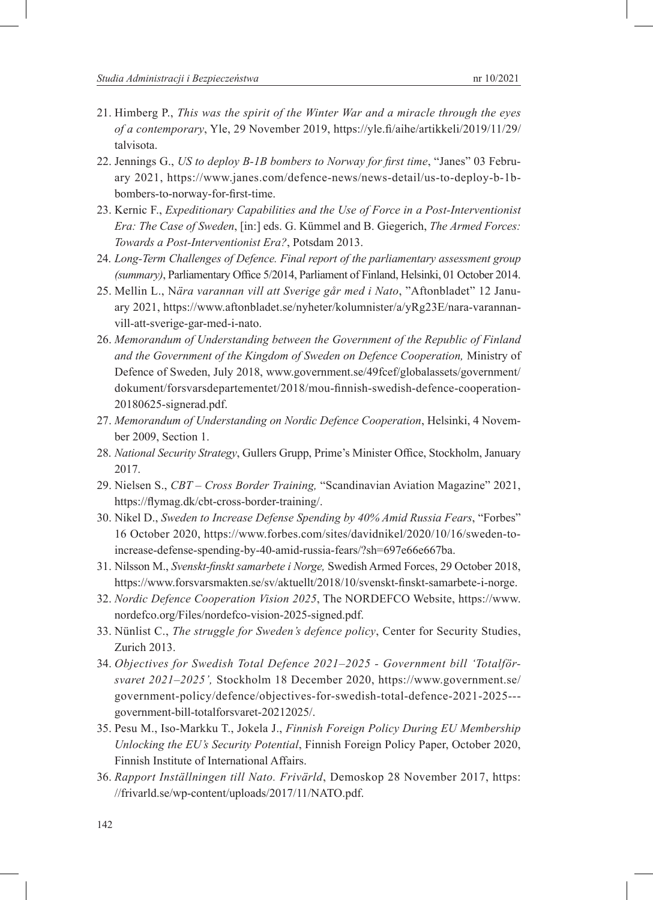- 22. Jennings G., *US to deploy B-1B bombers to Norway for first time*, "Janes" 03 February 2021, https://www.janes.com/defence-news/news-detail/us-to-deploy-b-1bbombers-to-norway-for-first-time.
- 23. Kernic F., *Expeditionary Capabilities and the Use of Force in a Post-Interventionist Era: The Case of Sweden*, [in:] eds. G. Kümmel and B. Giegerich, *The Armed Forces: Towards a Post-Interventionist Era?*, Potsdam 2013.
- 24. *Long-Term Challenges of Defence. Final report of the parliamentary assessment group (summary)*, Parliamentary Office 5/2014, Parliament of Finland, Helsinki, 01 October 2014.
- 25. Mellin L., N*ära varannan vill att Sverige går med i Nato*, "Aftonbladet" 12 January 2021, https://www.aftonbladet.se/nyheter/kolumnister/a/yRg23E/nara-varannanvill-att-sverige-gar-med-i-nato.
- 26. *Memorandum of Understanding between the Government of the Republic of Finland and the Government of the Kingdom of Sweden on Defence Cooperation,* Ministry of Defence of Sweden, July 2018, www.government.se/49fcef/globalassets/government/ dokument/forsvarsdepartementet/2018/mou-finnish-swedish-defence-cooperation-20180625-signerad.pdf.
- 27. *Memorandum of Understanding on Nordic Defence Cooperation*, Helsinki, 4 November 2009, Section 1.
- 28. *National Security Strategy*, Gullers Grupp, Prime's Minister Office, Stockholm, January 2017.
- 29. Nielsen S., *CBT Cross Border Training,* "Scandinavian Aviation Magazine" 2021, https://flymag.dk/cbt-cross-border-training/.
- 30. Nikel D., *Sweden to Increase Defense Spending by 40% Amid Russia Fears*, "Forbes" 16 October 2020, https://www.forbes.com/sites/davidnikel/2020/10/16/sweden-toincrease-defense-spending-by-40-amid-russia-fears/?sh=697e66e667ba.
- 31. Nilsson M., *Svenskt-finskt samarbete i Norge,* Swedish Armed Forces, 29 October 2018, https://www.forsvarsmakten.se/sv/aktuellt/2018/10/svenskt-finskt-samarbete-i-norge.
- 32. *Nordic Defence Cooperation Vision 2025*, The NORDEFCO Website, https://www. nordefco.org/Files/nordefco-vision-2025-signed.pdf.
- 33. Nünlist C., *The struggle for Sweden's defence policy*, Center for Security Studies, Zurich 2013.
- 34. *Objectives for Swedish Total Defence 2021–2025 Government bill 'Totalförsvaret 2021–2025',* Stockholm 18 December 2020, https://www.government.se/ government-policy/defence/objectives-for-swedish-total-defence-2021-2025-- government-bill-totalforsvaret-20212025/.
- 35. Pesu M., Iso-Markku T., Jokela J., *Finnish Foreign Policy During EU Membership Unlocking the EU's Security Potential*, Finnish Foreign Policy Paper, October 2020, Finnish Institute of International Affairs.
- 36. *Rapport Inställningen till Nato. Frivärld*, Demoskop 28 November 2017, https: //frivarld.se/wp-content/uploads/2017/11/NATO.pdf.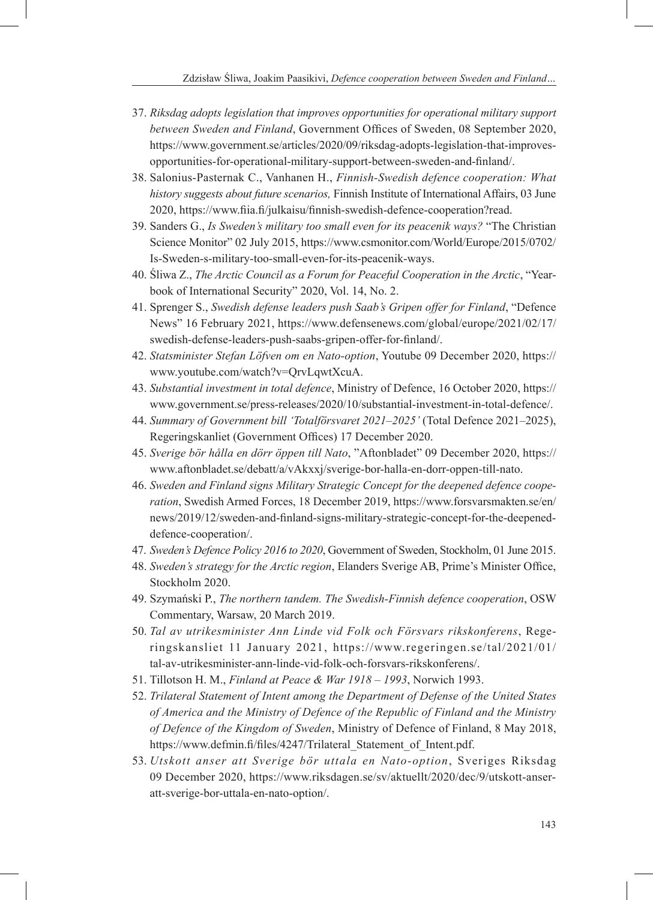- 37. *Riksdag adopts legislation that improves opportunities for operational military support between Sweden and Finland*, Government Offices of Sweden, 08 September 2020, https://www.government.se/articles/2020/09/riksdag-adopts-legislation-that-improvesopportunities-for-operational-military-support-between-sweden-and-finland/.
- 38. Salonius-Pasternak C., Vanhanen H., *Finnish-Swedish defence cooperation: What history suggests about future scenarios,* Finnish Institute of International Affairs, 03 June 2020, https://www.fiia.fi/julkaisu/finnish-swedish-defence-cooperation?read.
- 39. Sanders G., *Is Sweden's military too small even for its peacenik ways?* "The Christian Science Monitor" 02 July 2015, https://www.csmonitor.com/World/Europe/2015/0702/ Is-Sweden-s-military-too-small-even-for-its-peacenik-ways.
- 40. Śliwa Z., *The Arctic Council as a Forum for Peaceful Cooperation in the Arctic*, "Yearbook of International Security" 2020, Vol. 14, No. 2.
- 41. Sprenger S., *Swedish defense leaders push Saab's Gripen offer for Finland*, "Defence News" 16 February 2021, https://www.defensenews.com/global/europe/2021/02/17/ swedish-defense-leaders-push-saabs-gripen-offer-for-finland/.
- 42. *Statsminister Stefan Löfven om en Nato-option*, Youtube 09 December 2020, https:// www.youtube.com/watch?v=QrvLqwtXcuA.
- 43. *Substantial investment in total defence*, Ministry of Defence, 16 October 2020, https:// www.government.se/press-releases/2020/10/substantial-investment-in-total-defence/.
- 44. *Summary of Government bill 'Totalförsvaret 2021–2025'* (Total Defence 2021–2025), Regeringskanliet (Government Offices) 17 December 2020.
- 45. *Sverige bör hålla en dörr öppen till Nato*, "Aftonbladet" 09 December 2020, https:// www.aftonbladet.se/debatt/a/vAkxxj/sverige-bor-halla-en-dorr-oppen-till-nato.
- 46. *Sweden and Finland signs Military Strategic Concept for the deepened defence cooperation*, Swedish Armed Forces, 18 December 2019, https://www.forsvarsmakten.se/en/ news/2019/12/sweden-and-finland-signs-military-strategic-concept-for-the-deepeneddefence-cooperation/.
- 47. *Sweden's Defence Policy 2016 to 2020*, Government of Sweden, Stockholm, 01 June 2015.
- 48. *Sweden's strategy for the Arctic region*, Elanders Sverige AB, Prime's Minister Office, Stockholm 2020.
- 49. Szymański P., *The northern tandem. The Swedish-Finnish defence cooperation*, OSW Commentary, Warsaw, 20 March 2019.
- 50. *Tal av utrikesminister Ann Linde vid Folk och Försvars rikskonferens*, Regeringskansliet 11 January 2021, https://www.regeringen.se/tal/2021/01/ tal-av-utrikesminister-ann-linde-vid-folk-och-forsvars-rikskonferens/.
- 51. Tillotson H. M., *Finland at Peace & War 1918 1993*, Norwich 1993.
- 52. *Trilateral Statement of Intent among the Department of Defense of the United States of America and the Ministry of Defence of the Republic of Finland and the Ministry of Defence of the Kingdom of Sweden*, Ministry of Defence of Finland, 8 May 2018, https://www.defmin.fi/files/4247/Trilateral\_Statement\_of\_Intent.pdf.
- 53. *Utskott anser att Sverige bör uttala en Nato-option*, Sveriges Riksdag 09 December 2020, https://www.riksdagen.se/sv/aktuellt/2020/dec/9/utskott-anseratt-sverige-bor-uttala-en-nato-option/.